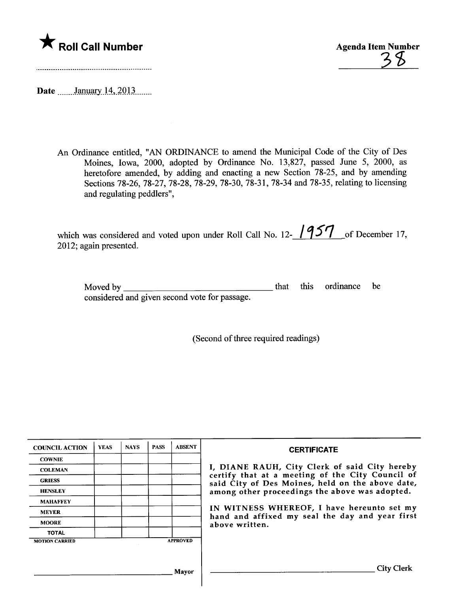

\* Roll Call Number<br>
38<br>
Agenda Item Number<br>
38

Date \_\_\_\_\_\_January 14, 2013

An Ordinance entitled, "AN ORDINANCE to amend the Muncipal Code of the City of Des Moines, Iowa, 2000, adopted by Ordinance No. 13,827, passed June 5, 2000, as heretofore amended, by adding and enacting a new Section 78-25, and by amending Sections 78-26, 78-27, 78-28, 78-29, 78-30, 78-31, 78-34 and 78-35, relating to licensing and regulating peddlers",

which was considered and voted upon under Roll Call No. 12- $\frac{957}{ }$  of December 17, 2012; again presented.

| Moved by $\overline{\phantom{a}}$             |  | that this ordinance be |  |
|-----------------------------------------------|--|------------------------|--|
| considered and given second vote for passage. |  |                        |  |

(Second of three required readings)

| <b>COUNCIL ACTION</b> | <b>YEAS</b> | <b>NAYS</b> | <b>PASS</b> | <b>ABSENT</b>   | <b>CERTIFICATE</b>                                                                                   |
|-----------------------|-------------|-------------|-------------|-----------------|------------------------------------------------------------------------------------------------------|
| <b>COWNIE</b>         |             |             |             |                 |                                                                                                      |
| <b>COLEMAN</b>        |             |             |             |                 | I, DIANE RAUH, City Clerk of said City hereby                                                        |
| <b>GRIESS</b>         |             |             |             |                 | certify that at a meeting of the City Council of<br>said City of Des Moines, held on the above date, |
| <b>HENSLEY</b>        |             |             |             |                 | among other proceedings the above was adopted.                                                       |
| <b>MAHAFFEY</b>       |             |             |             |                 |                                                                                                      |
| <b>MEYER</b>          |             |             |             |                 | IN WITNESS WHEREOF, I have hereunto set my<br>hand and affixed my seal the day and year first        |
| <b>MOORE</b>          |             |             |             |                 | above written.                                                                                       |
| <b>TOTAL</b>          |             |             |             |                 |                                                                                                      |
| <b>MOTION CARRIED</b> |             |             |             | <b>APPROVED</b> |                                                                                                      |
|                       |             |             |             |                 |                                                                                                      |
|                       |             |             |             |                 |                                                                                                      |
|                       |             |             |             | Mayor           | City Clerk                                                                                           |
|                       |             |             |             |                 |                                                                                                      |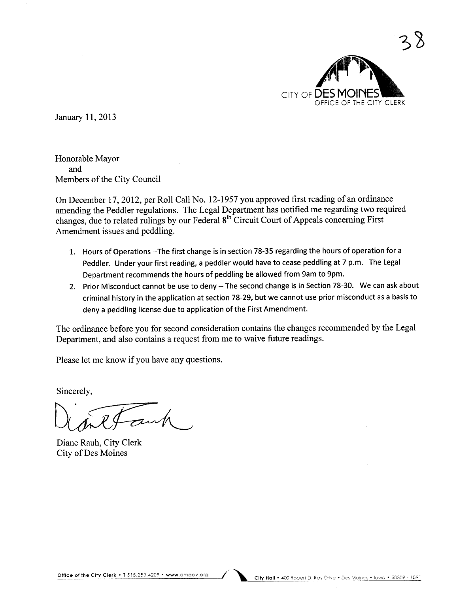

January 11, 2013

Honorable Mayor and Members of the City Council

On December 17, 2012, per Roll Call No. 12-1957 you approved first reading of an ordinance amending the Peddler regulations. The Legal Deparment has notified me regarding two required changes, due to related rulings by our Federal 8<sup>th</sup> Circuit Court of Appeals concerning First Amendment issues and peddling.

- 1. Hours of Operations --The first change is in section 78-35 regarding the hours of operation for a Peddler. Under your first reading, a peddler would have to cease peddling at 7 p.m. The Legal Department recommends the hours of peddling be allowed from 9am to 9pm.
- 2. Prior Misconduct cannot be use to deny -- The second change is in Section 78-30. We can ask about criminal history in the application at section 78-29, but we cannot use prior misconduct as a basis to deny a peddling license due to application of the First Amendment.

The ordinance before you for second consideration contains the changes recommended by the Legal Deparment, and also contains a request from me to waive future readings.

Please let me know if you have any questions.

Sincerely,

Sincerely,<br>
University Clerk<br>
Diane Rauh, City Clerk

City of Des Moines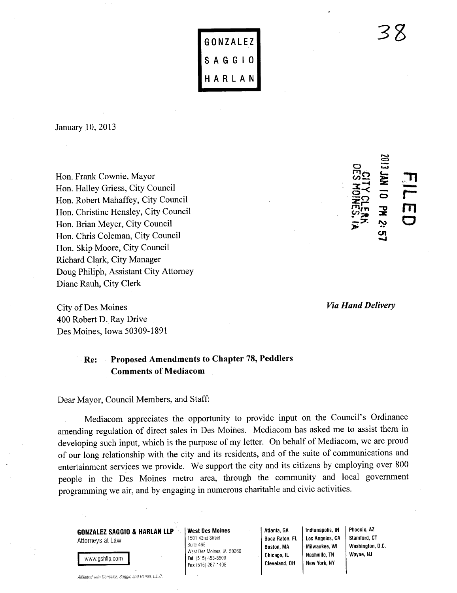|   | GONZALEZ |   |
|---|----------|---|
|   | SAGGI    | 0 |
| H | ARLA     | N |

January 10, 2013

Hon. Frank Cownie, Mayor Hon. Halley Griess, City Council Hon. Robert Mahaffey, City Council Hon. Christine Hensley, City Council Hon. Brian Meyer, City Council Hon. Chris Coleman, City Council Hon. Skip Moore, City Council Richard Clark, City Manager Doug Philiph, Assistant City Attorney Diane Rauh, City Clerk

City of Des Moines 400 Robert D.Ray Drive Des Moines, Iowa 50309-1891

### '. Re: Proposed Amendments to Chapter 78, Peddlers Comments of Mediacom

Dear Mayor, Council Members, and Staff:

Mediacom appreciates the opportunity to provide input on the Council's Ordinance amending regulation of direct sales in Des Moines. Mediacom has asked me to assist them in developing such input, which is the purpose of my letter. On behalf of Mediacom, we are proud of our long relationship with the city and its residents, and of the suite of communications and entertainment services we provide. We support the city and its citizens by employing over 800 people in the Des Moines metro area, through the community and local government programming we air, and by engaging in numerous charitable and civic activities.

GONZALEZ SAGGIO & HARLAN LLP Attorneys at Law

Affiliated with Gonzalez, Saggio and Harlan, L.L.C.

www.gshllp.com

<u>I www.grammating.com I</u>

West Des Moines 1501 42nd Street Suite 465 West Des Moines. IA 50266 Tel (515) 453-8509 Fax (515) 267-1408

Atlanta, GA Boca Raton, FL Boston, MA Chicago, IL Cleveland, OH

Indianapolis, IN Los Angeles, CA Milwaukee, Wi Nashville, TN New York, NY Washington, O.C. Wayne, NJ

Phoenix, AZ Stamford, CT

Via Hand Delivery

**OES MOINES, 1**<br>DES MOINES, 1

 $\tilde{\bm{z}}$ 

c-:øZ o **궃** '".. c. <u>ب</u><br>ب  $\frac{1}{\Gamma}$ rm<br>O

""=-Co

33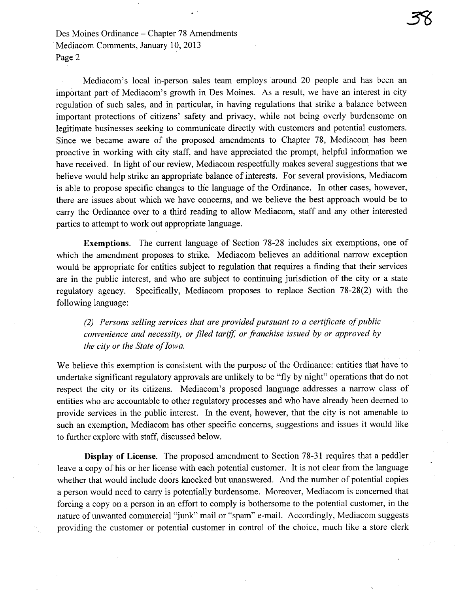Des Moines Ordinance – Chapter 78 Amendments Mediacöm Comments, January 10,2013 Page 2

Mediacom's local in-person sales team employs around 20 people and has been an important part of Mediacom's growth in Des Moines. As a result, we have an interest in city regulation of such sales, and in particular, in having regulations that strike a balance between important protections of citizens' safety and privacy, while not being overly burdensome on legitimate businesses seeking to communicate directly with customers and potential customers. Since we became aware of the proposed amendments to Chapter 78, Mediacom has been proactive in working with city staff, and have appreciated the prompt, helpful information we have received. In light of our review, Mediacom respectfully makes several suggestions that we believe would help strike an appropriate balance of interests. For several provisions, Mediacom is able to propose specific changes to the language of the Ordinance. In other cases, however, there are issues about which we have concerns, and we believe the best approach would be to carry the Ordinance over to a third reading to allow Mediacom, staff and any other interested paries to attempt to work out appropriate language.

Exemptions. The current language of Section 78-28 includes six exemptions, one of which the amendment proposes to strike. Mediacom believes an additional narrow exception would be appropriate for entities subject to regulation that requires a finding that their services are in the public interest, and who are subject to continuing jurisdiction of the city or a state regulatory agency. Specifically, Mediacom proposes to replace Section 78-28(2) with the following language:

(2) Persons sellng services that are provided pursuant to a certifcate of public convenience and necessity, or filed tariff, or franchise issued by or approved by the city or the State of Iowa.

We believe this exemption is consistent with the purpose of the Ordinance: entities that have to undertake significant regulatory approvals are unlikely to be "fly by night" operations that do not respect the city or its citizens. Mediacom's proposed language addresses a narow class of entities who are accountable to other regulatory processes and who have already been deemed to provide services in the public interest. In the event, however, that the city is not amenable to such an exemption, Mediacom has other specific concerns, suggestions and issues it would like to further explore with staff, discussed below.

Display of License. The proposed amendment to Section 78-31 requires that a peddler leave a copy of his or her license with each potential customer. It is not clear from the language whether that would include doors knocked but unanswered. And the number of potential copies a person would need to carry is potentially burdensome. Moreover, Mediacom is concerned that forcing a copy on a person in an effort to comply is bothersome to the potential customer, in the nature of unwanted commercial "junk" mail or "spam" e-maiL. Accordingly, Mediacom suggests providing the customer or potential customer in control of the choice, much like a store clerk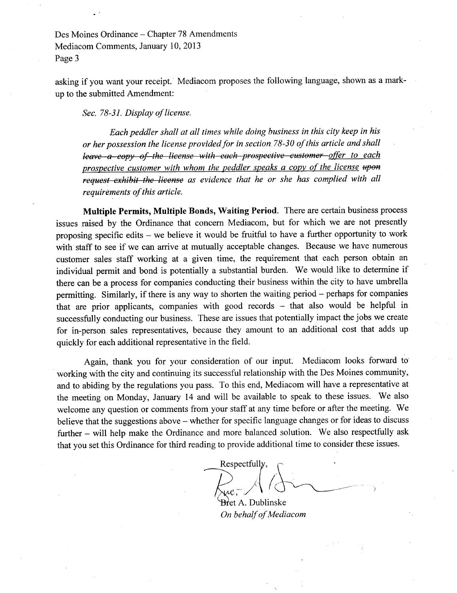Des Moines Ordinance - Chapter 78 Amendments Mediacom Comments, January 10,2013 Page 3

asking if you want your receipt. Mediacom proposes the following language, shown as a markup to the submitted Amendment:

Sec. 78-31. Display of license.

Each peddler shall at all times while doing business in this city keep in his or her possession the license provided for in section 78-30 of this article and shall leave a copy of the license with each prospective customer offer to each prospective customer with whom the peddler speaks a copy of the license upon request exhibit the license as evidence that he or she has complied with all requirëments of this article.

Multiple Permits, Multiple Bonds, Waiting Period. There are certain business process issues raised by the Ordinance that concern Mediacom, but for which we are not presently proposing specific edits – we believe it would be fruitful to have a further opportunity to work with staff to see if we can arrive at mutually acceptable changes. Because we have numerous customer sales staff working at a given time, the requirement that each person obtain an individual permit and bond is potentially a substantial burden. We would like to determine if there can be a process for companies conducting their business within the city to have umbrella permitting. Similarly, if there is any way to shorten the waiting period – perhaps for companies that are prior applicants, companies with good records - that also would be helpful in successfully conducting our business. These are issues that potentially impact the jobs we create for in-person sales representatives, because they amount to an additional cost that adds up quickly for each additional representative in the field.

Again, thank you for your consideration of our input. Mediacom looks forward to . working with the city and continuing its successful relationship with the Des Moines community, and to abiding by the regulations you pass. To this end, Mediacom will have a representative at the meeting on Monday, January 14 and will be available to speak to these issues. We also welcome any question or comments from your staff at any time before or after the meeting. We believe that the suggestions above – whether for specific language changes or for ideas to discuss further - will help make the Ordinance and more balanced solution. We also respectfully ask that you set this Ordinance for third reading to provide additional time to consider these issues.

 $R$ espectfully,  $\bigwedge_{\text{true}}$ ,  $\bigwedge_{\text{square}}$ 

**Br**et A. Dublinske On behalf of Mediacom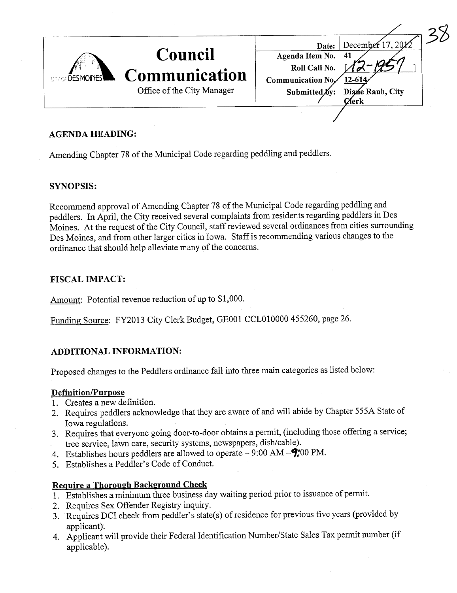| <b>CONGE DES MOINES</b> | <b>Council</b><br>Communication | December 17, 20 $\chi$ 2<br>Date:<br>Agenda Item No.<br>Roll Call No.<br>41<br>Communication No,<br>12-614 |  |
|-------------------------|---------------------------------|------------------------------------------------------------------------------------------------------------|--|
|                         | Office of the City Manager      | Submitted by:<br>Diane Rauh, City<br>(Zierk                                                                |  |
|                         |                                 |                                                                                                            |  |

### AGENDA HEADING:

Amending Chapter 78 of the Municipal Code regarding peddling and peddlers.

### SYNOPSIS:

Recommend approval of Amending Chapter 78 of the Muncipal Code regarding peddling and peddlers. In April, the City received several complaints from residents regarding peddlers in Des Moines. At the request of the City Council, staff reviewed several ordinances from cities surrounding Des Moines, and from other larger cities in Iowa. Staff is recommending various changes to the ordinance that should help alleviate many of the concerns.

### FISCAL IMPACT:

Amount: Potential revenue reduction of up to \$1,000.

Funding: Source: FY2013 City Clerk Budget, GE001 CCL010000 455260, page 26.

## ADDITIONAL INFORMATION:

Proposed changes to the Peddlers ordinance fall into three main categories as listed below:

### Definition/Purpose

- 1. Creates a new definition.
- 2. Requires peddlers acknowledge that they are aware of and will abide by Chapter 555A State of Iowa regulations.
- 3. Requires that everyone going door-to-door obtains a pennit, (including those offering a service; tree service, lawn care, security systems, newspapers, dish/cable).
- 4. Establishes hours peddlers are allowed to operate  $-9:00$  AM  $-\frac{9:00 \text{ PM}}{6}$ .
- 5. Establishes a Peddler's Code of Conduct.

### Require a Thorough Background Check

- 1. Establishes a minimum thee business day waiting period prior to issuance of permit.
- 2. Requires Sex Offender Registry inquiry.
- 3. . Requires DCI check from peddler's state(s) of residence for previous five years (provided by applicant).
- 4. Applicant will provide their Federal Identification Number/State Sales Tax permit number (if applicable).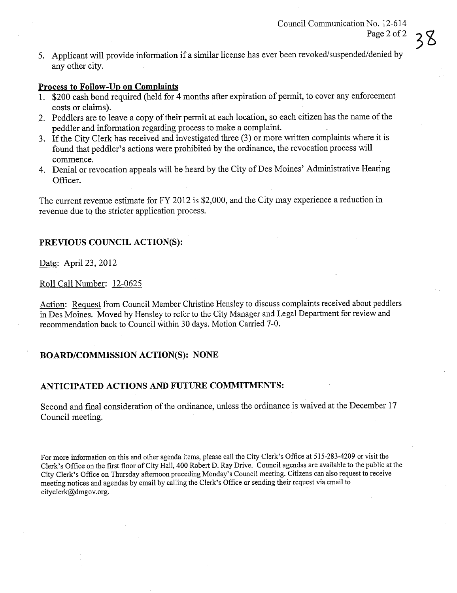5. Applicant will provide information if a similar license has ever been revoked/suspended/denied by any other city.

## Process to Follow-Un on Complaints

- 1. \$200 cash bond required (held for 4 months after expiration of permit, to cover any enforcement costs or claims).
- 2. Peddlers are to leave a copy of their permit at each location, so each citizen has the name of the peddler and information regarding process to make a complaint.
- 3. Ifthe City Clerk has received and investigated thee (3) or more written complaints where it is found that peddler's actions were prohibited by the ordinance, the revocation process will commence.
- 4. Denial or revocation appeals will be heard by the City of Des Moines' Administrative Hearing Officer.

The current revenue estimate for FY 2012 is \$2,000, and the City may experience a reduction in revenue due to the stricter application process.

# PREVIOUS COUNCIL ACTION(S):

Date: April 23, 2012

### Roll Call Number: 12-0625

Action: Request from Council Member Christine Hensley to discuss complaints received about peddlers in Des Moines. Moved by Hensley to refer to the City Manager and Legal Department for review and recommendation back to Council within 30 days. Motion Carried 7-0.

### BOARD/COMMISSION ACTION(S): NONE

## ANTICIPATED ACTIONS AND FUTURE COMMITMENTS:

Second and final consideration of the ordinance, unless the ordinance is waived at the December 17 Council meeting.

For more information on this and other agenda items, please call the City Clerk's Office at 515-283-4209 or visit the Clerk's Office on the first floor of City Hall, 400 Robert D. Ray Drive. Council agendas are available to the public at the City Clerk's Office on Thursday afternoon preceding Monday's Council meeting. Citizens can also request to receive meeting notices and agendas by email by calling the Clerk's Office or sending their request via email to cityclerk@dmgov.org.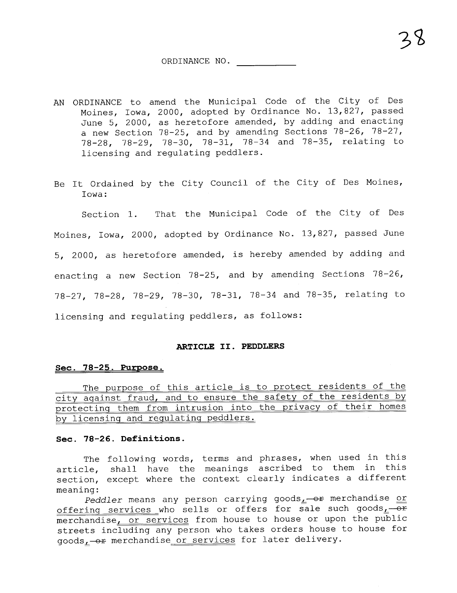ORDINANCE NO.

- AN ORDINANCE to amend the Municipal Code of the City of Des Moines, Iowa, 2000, adopted by Ordinance No. 13,827, passed June 5, 2000, as heretofore amended, by adding and enacting a new Section 78-25, and by amending Sections 78-26, 78-27, 78-28, 78-29, 78-30, 78-31, 78-34 and 78-35, relating to licensing and regulating peddlers.
- Be It Ordained by the City Council of the City of Des Moines, Iowa:

Section 1. That the Municipal Code of the City of Des Moines, Iowa, 2000, adopted by Ordinance No. 13,827, passed June 5, 2000, as heretofore amended, is hereby amended by adding and enacting a new Section 78-25, and by amending Sections 78-26, 78-27, 78-28, 78-29, 78-30, 78-31, 78-34 and 78-35, relating to licensing and regulating peddlers, as follows:

#### ARTICLE II. PEDDLERS

### See. 78-25. Purpose.

The purpose of this article is to protect residents of the city aqainst fraud, and to ensure the safety of the residents by protectinq them from intrusion into the privacy of their homes by licensinq and requlatinq peddlers.

#### See. 78-26. Definitions.

The following words, terms and phrases, when used in this article, shall have the meanings ascribed to them in this section, except where the context clearly indicates a differentmeaning:

Peddler means any person carrying goods $_1$ -or merchandise or offering services who sells or offers for sale such goods,  $-\overline{0}$ merchandise, or services from house to house or upon the public streets including any person who takes orders house to house for goods<sub>L</sub>-or merchandise or services for later delivery.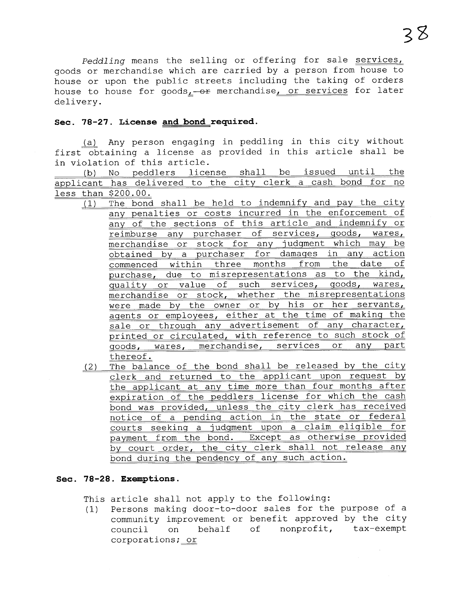Peddling means the selling or offering for sale services, goods or merchandise which are carried by a person from house to house or upon the public streets including the taking of orders house to house for goods $_1$ -or merchandise, or services for later delivery.

#### Sec. 78-27. License and bond required.

(a) Any person engaging in peddling in this city without first obtaining a license as provided in this article shall be in violation of this article.

(b) No peddlers license shall be issued until the applicant has delivered to the city clerk a cash bond for no less than \$200.00.

- $(1)$ The bond shall be held to indemnify and pay the city any penalties or costs incurred in the enforcement of any of the sections of this article and indemnify or reimburse any purchaser of services, goods, wares, merchandise or stock for any judgment which may be obtained by a purchaser for damages in any action commenced within three months from the date of purchase, due to misrepresentations as to the kind, quality or value of such services, goods, wares, merchandise or stock, whether the misrepresentations were made by the owner or by his or her servants, aqents or employees, either at the time of makinq the sale or through any advertisement of any character, printed or circulated, with reference to such stock of qoods, wares, merchandise, services or any part thereof.
- $(2)$ The balance of the bond shall be released by the city clerk and returned to the applicant upon request by the applicant at any time more than four months after expiration of the peddlers license for which the cash bond was provided, unless the city clerk has received notice of a pendinq action in the state or federal courts seeking a judgment upon a claim eligible for payment from the bond. Except as otherwise provided by court order, the city clerk shall not release any bond during the pendency of any such action.

#### Sec. 78-28. Exemptions.

This article shall not apply to the following:

 $(1)$ Persons making door-to-door sales for the purpose of a community improvement or benefit approved by the city council on behalf of nonprofit, tax-exempt corporations; or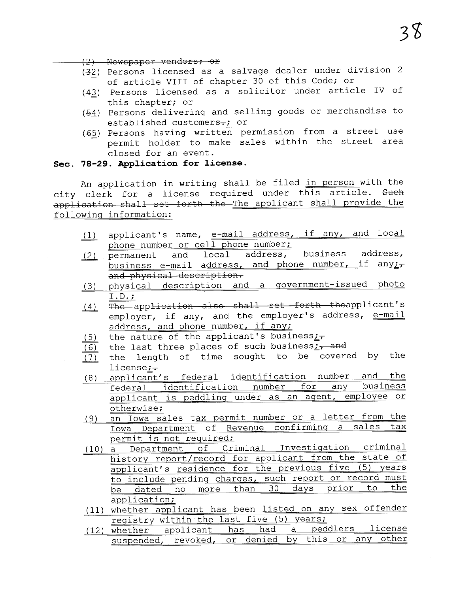(2) Newspaper vendors; or

- (32) Persons licensed as a salvage dealer under division 2 of article VIII of chapter 30 of this Code; or
- $(43)$  Persons licensed as a solicitor under article IV of this chapter; or
- (54) Persons delivering and selling goods or merchandise to established customers-; or
- $(45)$  Persons having written permission from a street use permit holder to make sales within the street area closed for an event.

### Sec. 78-29. Application for license.

An application in writing shall be filed in person with the city clerk for a license required under this article. Such application shall set forth the The applicant shall provide the followinq information:

- $(1)$ applicant's name, e-mail address, if any, and local phone number or cell phone number;<br>permanent and local address, business address,
- (2) permanent business e-mail address, and phone number, if any $\frac{1}{2}$ and physical description.
- (3) physical description and a government-issued photo I. D. ;
- $(4)$ The application also shall set forth theapplicant's employer, if any, and the employer's address, e-mail address, and phone number, if any;
- $(5)$ the nature of the applicant's business:
- $(6)$ the last three places of such business $\frac{1}{1}$  and
- $(7)$ the length of time sought to be covered by the license; $\div$
- $(8)$ applicant's federal identification number and the<br>federal identification number for any business federal identification number for applicant is peddlinq under as an aqent, employee or otherwise;
- $(9)$ an Iowa sales tax permit number or a letter from the Iowa Department of Revenue confirminq a sales tax
- permit is not required;<br>(10) a Department of Criminal Investigation criminal) history report/record for applicant from the state of applicant's residence for the previous five (5) years to include pending charges, such report or record must<br>be dated no more than 30 days prior to the be dated no more than 30 days prior application;
- ( 11) whether applicant has been listed on any sex offender registry within the last five (5) years;<br>whether applicant has had a peddlers license
- (12) whether applicant suspended, revoked, or denied by this or any other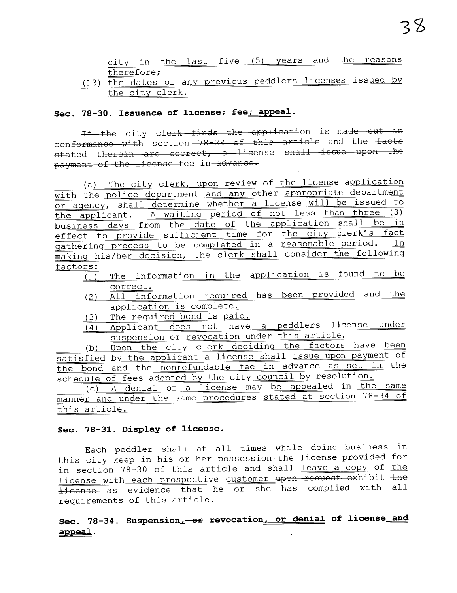city in the last five (5) years and the reasons therefore;

# (13) the dates of any previous peddlers licenses issued by the city clerk.

### Sec. 78-30. Issuance of license; fee; appeal.

If the city clerk finds the application is made out in conformance with section 78-29 of this article and the facts stated therein are correct, a license shall issue upon the payment of the license fee in advance.

(a) The city clerk, upon review of the license application with the police department and any other appropriate department<br>or agency, shall determine whether a license will be issued to the applicant. A waiting period of not less than three (3)<br>business days from the date of the application shall be in effect to provide sufficient time for the city clerk's fact gathering process to be completed in a reasonable period. makinq his/her decision, the clerk shall consider the followinq factors:

- $\overline{11}$  The information in the application is found to be correct.
- (2) All information required has been provided and the application is complete.
- (3) The required bond is paid.
- (4) Applicant does not have a peddlers license under suspension or revocation under this article.

(b) Upon the city clerk deciding the factors have been satisfied by the applicant a license shall issue upon payment of the bond and the nonrefundable fee in advance as set in the schedule of fees adopted by the city council by resolution.

(c) A denial of a license may be appealed in the same manner and under the same procedures stated at section 78-34 of this article.

#### Sec. 78-31. Display of license.

Each peddler shall at all times while doing business in this city keep in his or her possession the license provided for in section 78-30 of this article and shall leave a copy of the<br>license with each prospective customer upon request exhibit the license as evidence that he or she has complied with all requirements of this article.

# Sec. 78-34. Suspension<sub>1</sub>-or revocation<sub>1</sub> or denial of license and appeal.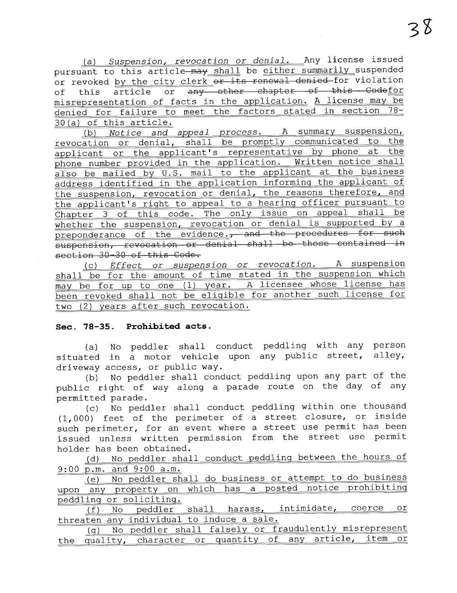(a) Suspension, revocation or denial. Any license issued pursuant to this article-may shall be either summarily suspended or revoked by the city clerk or its renewal denied for violation of this article or any other chapter of this Codefor misrepresentation of facts in the application. A license may be denied for failure to meet the factors stated in section 78- 30 (a) of this article.

 $\frac{(b) \quad Notice \quad and \quad appeal \quad process. \quad A \quad summary \quad suspension,}$ revocation or denial, shall be promptly communicated to the applicant or the applicant's representative by phone at phone number provided in the application. Written notice shall also be mailed by U.S. mail to the applicant at the business address identified in the application informinq the applicant of the suspension, revocation or denial, the reasons therefore, and the applicant's riqht to appeal to a hearinq officer pursuant to Chapter 3 of this code. The only issue on appeal shall be whether the suspension, revocation or denial is supported by a preponderance of the evidence., and the procedures for such  $\begin{tabular}{ll} \hline \multicolumn{2}{c}{\textbf{sub}} & \multicolumn{2}{c}{\textbf{sub}} \\ \hline \multicolumn{2}{c}{\textbf{sub}} & \multicolumn{2}{c}{\textbf{sub}} \\ \hline \multicolumn{2}{c}{\textbf{sub}} & \multicolumn{2}{c}{\textbf{sub}} \\ \hline \multicolumn{2}{c}{\textbf{sub}} & \multicolumn{2}{c}{\textbf{sub}} \\ \hline \multicolumn{2}{c}{\textbf{sub}} & \multicolumn{2}{c}{\textbf{sub}} \\ \hline \multicolumn{2}{c}{\textbf{sub}} & \multicolumn{2}{c}{\textbf{sub}} \\ \hline$ section 30-30 of this Code.

(c) Effect or suspension or revocation. A suspension shall be for the amount of time stated in the suspension which may be for up to one (1) year. A licensee whose license has been revoked shall not be eliqible for another such license for two (2) years after such revocation.

#### Sec. 78-35. Prohibited acts.

(a) No peddler shall conduct peddling with any person situated in a motor vehicle upon any public street, alley, driveway access, or public way.

(b) No peddler shall conduct peddling upon any part of the public right of way along a parade route on the day of any permitted parade.

(c) No peddler shall conduct peddling wi thin one thousand (1,000) feet of the perimeter of a street closure, or inside such perimeter, for an event where a street use permit has been issued unless written permission from the street use permit holder has been obtained.

(d) No peddler shall conduct peddlinq between the hours of

9:00 p.m. and 9:00 a.m.<br>(e) No peddler shall do business or attempt to do business upon any property on which has a posted notice prohibiting<br>peddling or soliciting.

peddling or soliciting.<br>
<u>(f)</u> No peddler shall harass,<br>
threaten any individual to induce a sale. intimidate, coerce or

(q) No peddler shall falsely or fraudulently misrepresent the quality, character or quantity of any article, item or